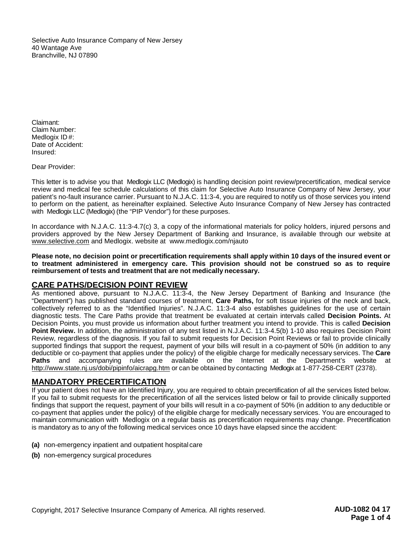Selective Auto Insurance Company of New Jersey 40 Wantage Ave Branchville, NJ 07890

Claimant: Claim Number: Medlogix ID #: Date of Accident: Insured:

Dear Provider:

This letter is to advise you that Medlogix LLC (Medlogix) is handling decision point review/precertification, medical service review and medical fee schedule calculations of this claim for Selective Auto Insurance Company of New Jersey, your patient's no-fault insurance carrier. Pursuant to N.J.A.C. 11:3-4, you are required to notify us of those services you intend to perform on the patient, as hereinafter explained. Selective Auto Insurance Company of New Jersey has contracted with Medlogix LLC (Medlogix) (the "PIP Vendor") for these purposes.

In accordance with N.J.A.C. 11:3-4.7(c) 3, a copy of the informational materials for policy holders, injured persons and providers approved by the New Jersey Department of Banking and Insurance, is available through our website at [www.selective.com](http://www.selective.com/) and Medlogix. website at www.medlogix.com/njauto

Please note, no decision point or precertification requirements shall apply within 10 days of the insured event or **to treatment administered in emergency care. This provision should not be construed so as to require reimbursement of tests and treatment that are not medically necessary.**

#### **CARE PATHS/DECISION POINT REVIEW**

As mentioned above, pursuant to N.J.A.C. 11:3-4, the New Jersey Department of Banking and Insurance (the "Department") has published standard courses of treatment, **Care Paths,** for soft tissue injuries of the neck and back, collectively referred to as the "Identified Injuries". N.J.A.C. 11:3-4 also establishes guidelines for the use of certain diagnostic tests. The Care Paths provide that treatment be evaluated at certain intervals called **Decision Points.** At Decision Points, you must provide us information about further treatment you intend to provide. This is called **Decision Point Review.** In addition, the administration of any test listed in N.J.A.C. 11:3-4.5(b) 1-10 also requires Decision Point Review, regardless of the diagnosis. If you fail to submit requests for Decision Point Reviews or fail to provide clinically supported findings that support the request, payment of your bills will result in a co-payment of 50% (in addition to any deductible or co-payment that applies under the policy) of the eligible charge for medically necessary services. The **Care Paths** and accompanying rules are available on the Internet at the Department's website at <http://www.state.nj.us/dobi/pipinfo/aicrapg.htm> or can be obtained by contacting Medlogix at 1-877-258-CERT (2378).

## **MANDATORY PRECERTIFICATION**

If your patient does not have an Identified Injury, you are required to obtain precertification of all the services listed below. If you fail to submit requests for the precertification of all the services listed below or fail to provide clinically supported findings that support the request, payment of your bills will result in a co-payment of 50% (in addition to any deductible or co-payment that applies under the policy) of the eligible charge for medically necessary services. You are encouraged to maintain communication with Medlogix on a regular basis as precertification requirements may change. Precertification is mandatory as to any of the following medical services once 10 days have elapsed since the accident:

- **(a)** non-emergency inpatient and outpatient hospital care
- **(b)** non-emergency surgical procedures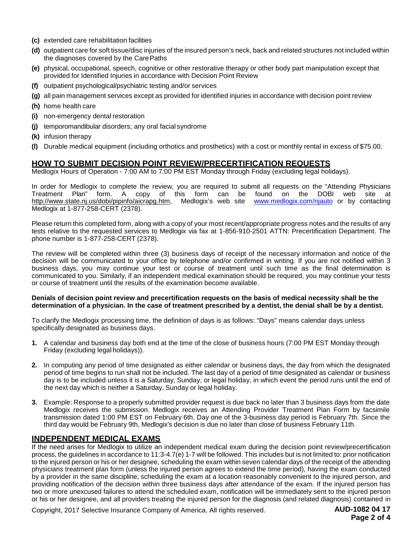- **(c)** extended care rehabilitation facilities
- **(d)** outpatient care for soft tissue/disc injuries of the insured person's neck, back and related structures not included within the diagnoses covered by the CarePaths
- **(e)** physical, occupational, speech, cognitive or other restorative therapy or other body part manipulation except that provided for Identified Injuries in accordance with Decision Point Review
- **(f)** outpatient psychological/psychiatric testing and/or services
- **(g)** all pain management services except as provided for identified injuries in accordance with decision point review
- **(h)** home health care
- **(i)** non-emergency dental restoration
- **(j)** temporomandibular disorders; any oral facial syndrome
- **(k)** infusion therapy
- **(l)** Durable medical equipment (including orthotics and prosthetics) with a cost or monthly rental in excess of \$75.00.

## **HOW TO SUBMIT DECISION POINT REVIEW/PRECERTIFICATION REQUESTS**

Medlogix Hours of Operation - 7:00 AM to 7:00 PM EST Monday through Friday (excluding legal holidays).

In order for Medlogix to complete the review, you are required to submit all requests on the "Attending Physicians Treatment Plan" form. A copy of this form can be found on the DOBI web site at http://www.state.nj.us/dobi/pipinfo/aicrapg.htm, Medlogix's web site www.medlogix.com/njauto or by contacting [http://www.state.nj.us/dobi/pipinfo/aicrapg.htm,](http://www.state.nj.us/dobi/pipinfo/aicrapg.htm) Medlogix's web site Medlogix at 1-877-258-CERT (2378).

Please return this completed form, along with a copy of your most recent/appropriate progress notes and the results of any tests relative to the requested services to Medlogix via fax at 1-856-910-2501 ATTN: Precertification Department. The phone number is 1-877-258-CERT (2378).

The review will be completed within three (3) business days of receipt of the necessary information and notice of the decision will be communicated to your office by telephone and/or confirmed in writing. If you are not notified within 3 business days, you may continue your test or course of treatment until such time as the final determination is communicated to you. Similarly, if an independent medical examination should be required, you may continue your tests or course of treatment until the results of the examination become available.

#### **Denials of decision point review and precertification requests on the basis of medical necessity shall be the determination of a physician. In the case of treatment prescribed by a dentist, the denial shall be by a dentist.**

To clarify the Medlogix processing time, the definition of days is as follows: "Days" means calendar days unless specifically designated as business days.

- **1.** A calendar and business day both end at the time of the close of business hours (7:00 PM EST Monday through Friday (excluding legal holidays)).
- **2.** In computing any period of time designated as either calendar or business days, the day from which the designated period of time begins to run shall not be included. The last day of a period of time designated as calendar or business day is to be included unless it is a Saturday, Sunday, or legal holiday, in which event the period runs until the end of the next day which is neither a Saturday, Sunday or legal holiday.
- **3.** Example: Response to a properly submitted provider request is due back no later than 3 business days from the date Medlogix receives the submission. Medlogix receives an Attending Provider Treatment Plan Form by facsimile transmission dated 1:00 PM EST on February 6th. Day one of the 3-business day period is February 7th. Since the third day would be February 9th, Medlogix's decision is due no later than close of business February 11th.

## **INDEPENDENT MEDICAL EXAMS**

If the need arises for Medlogix to utilize an independent medical exam during the decision point review/precertification process, the guidelines in accordance to 11:3-4.7(e) 1-7 will be followed. This includes but is not limited to: prior notification to the injured person or his or her designee, scheduling the exam within seven calendar days of the receipt of the attending physicians treatment plan form (unless the injured person agrees to extend the time period), having the exam conducted by a provider in the same discipline, scheduling the exam at a location reasonably convenient to the injured person, and providing notification of the decision within three business days after attendance of the exam. If the injured person has two or more unexcused failures to attend the scheduled exam, notification will be immediately sent to the injured person or his or her designee, and all providers treating the injured person for the diagnosis (and related diagnosis) contained in

Copyright, 2017 Selective Insurance Company of America. All rights reserved.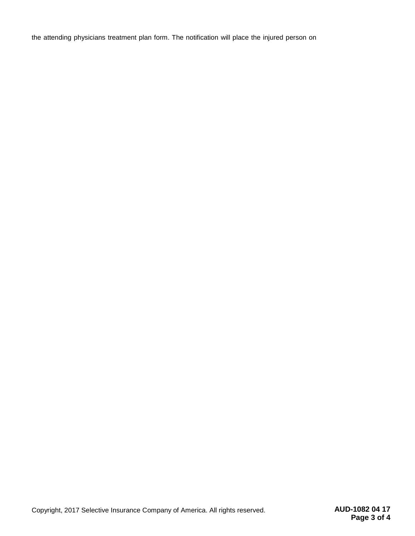the attending physicians treatment plan form. The notification will place the injured person on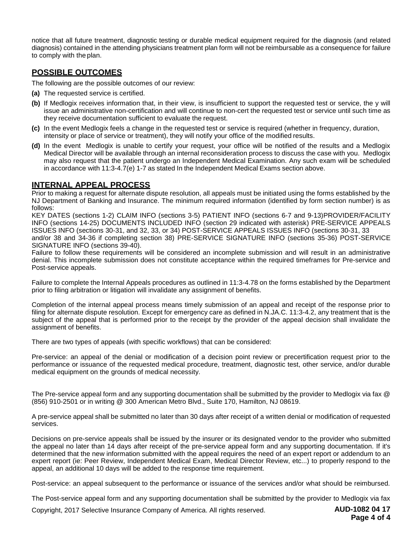notice that all future treatment, diagnostic testing or durable medical equipment required for the diagnosis (and related diagnosis) contained in the attending physicians treatment plan form will not be reimbursable as a consequence for failure to comply with the plan.

# **POSSIBLE OUTCOMES**

The following are the possible outcomes of our review:

- **(a)** The requested service is certified.
- **(b)** If Medlogix receives information that, in their view, is insufficient to support the requested test or service, the y will issue an administrative non-certification and will continue to non-cert the requested test or service until such time as they receive documentation sufficient to evaluate the request.
- **(c)** In the event Medlogix feels a change in the requested test or service is required (whether in frequency, duration, intensity or place of service or treatment), they will notify your office of the modified results.
- **(d)** In the event Medlogix is unable to certify your request, your office will be notified of the results and a Medlogix Medical Director will be available through an internal reconsideration process to discuss the case with you. Medlogix may also request that the patient undergo an Independent Medical Examination. Any such exam will be scheduled in accordance with 11:3-4.7(e) 1-7 as stated In the Independent Medical Exams section above.

## **INTERNAL APPEAL PROCESS**

Prior to making a request for alternate dispute resolution, all appeals must be initiated using the forms established by the NJ Department of Banking and Insurance. The minimum required information (identified by form section number) is as follows:

KEY DATES (sections 1-2) CLAIM INFO (sections 3-5) PATIENT INFO (sections 6-7 and 9-13)PROVIDER/FACILITY INFO (sections 14-25) DOCUMENTS INCLUDED INFO (section 29 indicated with asterisk) PRE-SERVICE APPEALS ISSUES INFO (sections 30-31, and 32, 33, or 34) POST-SERVICE APPEALS ISSUES INFO (sections 30-31, 33 and/or 38 and 34-36 if completing section 38) PRE-SERVICE SIGNATURE INFO (sections 35-36) POST-SERVICE SIGNATURE INFO (sections 39-40).

Failure to follow these requirements will be considered an incomplete submission and will result in an administrative denial. This incomplete submission does not constitute acceptance within the required timeframes for Pre-service and Post-service appeals.

Failure to complete the Internal Appeals procedures as outlined in 11:3-4.78 on the forms established by the Department prior to filing arbitration or litigation will invalidate any assignment of benefits.

Completion of the internal appeal process means timely submission of an appeal and receipt of the response prior to filing for alternate dispute resolution. Except for emergency care as defined in N.JA.C. 11:3-4.2, any treatment that is the subject of the appeal that is performed prior to the receipt by the provider of the appeal decision shall invalidate the assignment of benefits.

There are two types of appeals (with specific workflows) that can be considered:

Pre-service: an appeal of the denial or modification of a decision point review or precertification request prior to the performance or issuance of the requested medical procedure, treatment, diagnostic test, other service, and/or durable medical equipment on the grounds of medical necessity.

The Pre-service appeal form and any supporting documentation shall be submitted by the provider to Medlogix via fax @ (856) 910-2501 or in writing @ 300 American Metro Blvd., Suite 170, Hamilton, NJ 08619.

A pre-service appeal shall be submitted no later than 30 days after receipt of a written denial or modification of requested services.

Decisions on pre-service appeals shall be issued by the insurer or its designated vendor to the provider who submitted the appeal no later than 14 days after receipt of the pre-service appeal form and any supporting documentation. If it's determined that the new information submitted with the appeal requires the need of an expert report or addendum to an expert report (ie: Peer Review, Independent Medical Exam, Medical Director Review, etc...) to properly respond to the appeal, an additional 10 days will be added to the response time requirement.

Post-service: an appeal subsequent to the performance or issuance of the services and/or what should be reimbursed.

The Post-service appeal form and any supporting documentation shall be submitted by the provider to Medlogix via fax

Copyright, 2017 Selective Insurance Company of America. All rights reserved.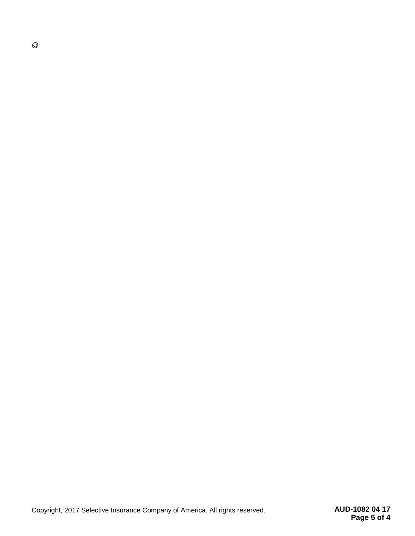@